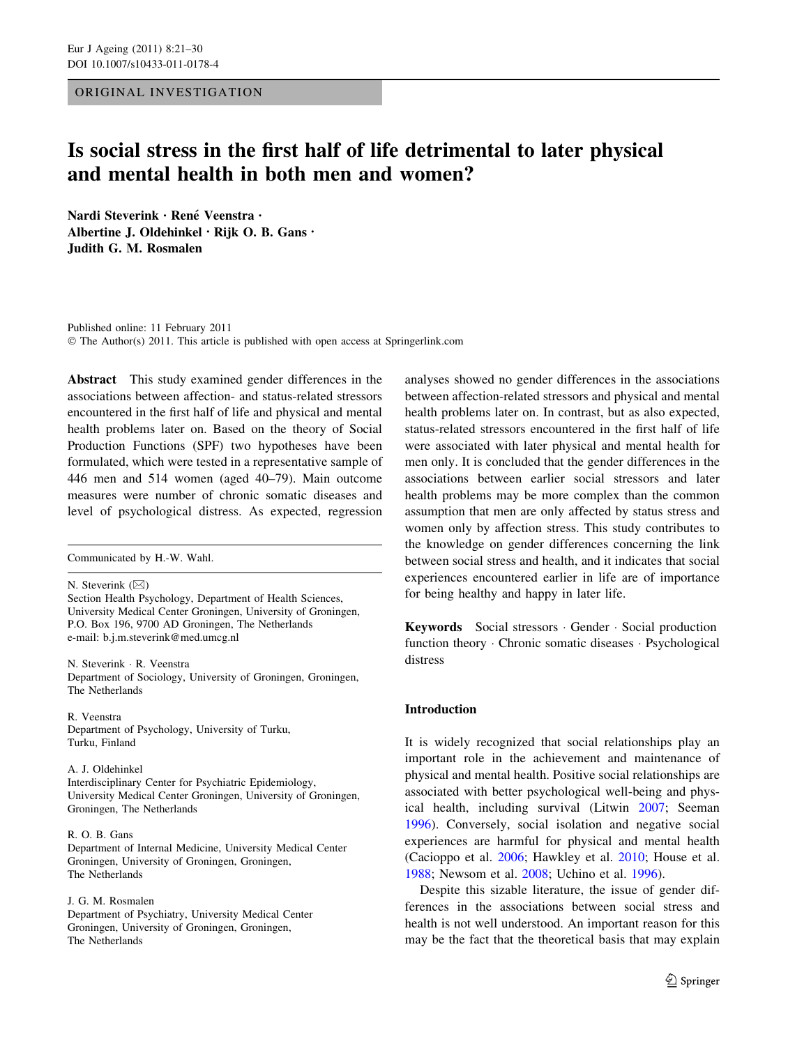## ORIGINAL INVESTIGATION

# Is social stress in the first half of life detrimental to later physical and mental health in both men and women?

Nardi Steverink • René Veenstra • Albertine J. Oldehinkel • Rijk O. B. Gans • Judith G. M. Rosmalen

Published online: 11 February 2011 © The Author(s) 2011. This article is published with open access at Springerlink.com

Abstract This study examined gender differences in the associations between affection- and status-related stressors encountered in the first half of life and physical and mental health problems later on. Based on the theory of Social Production Functions (SPF) two hypotheses have been formulated, which were tested in a representative sample of 446 men and 514 women (aged 40–79). Main outcome measures were number of chronic somatic diseases and level of psychological distress. As expected, regression

Communicated by H.-W. Wahl.

N. Steverink  $(\boxtimes)$ Section Health Psychology, Department of Health Sciences, University Medical Center Groningen, University of Groningen, P.O. Box 196, 9700 AD Groningen, The Netherlands e-mail: b.j.m.steverink@med.umcg.nl

N. Steverink - R. Veenstra Department of Sociology, University of Groningen, Groningen, The Netherlands

R. Veenstra Department of Psychology, University of Turku, Turku, Finland

## A. J. Oldehinkel

Interdisciplinary Center for Psychiatric Epidemiology, University Medical Center Groningen, University of Groningen, Groningen, The Netherlands

#### R. O. B. Gans

Department of Internal Medicine, University Medical Center Groningen, University of Groningen, Groningen, The Netherlands

# J. G. M. Rosmalen

Department of Psychiatry, University Medical Center Groningen, University of Groningen, Groningen, The Netherlands

analyses showed no gender differences in the associations between affection-related stressors and physical and mental health problems later on. In contrast, but as also expected, status-related stressors encountered in the first half of life were associated with later physical and mental health for men only. It is concluded that the gender differences in the associations between earlier social stressors and later health problems may be more complex than the common assumption that men are only affected by status stress and women only by affection stress. This study contributes to the knowledge on gender differences concerning the link between social stress and health, and it indicates that social experiences encountered earlier in life are of importance for being healthy and happy in later life.

Keywords Social stressors - Gender - Social production function theory - Chronic somatic diseases - Psychological distress

## Introduction

It is widely recognized that social relationships play an important role in the achievement and maintenance of physical and mental health. Positive social relationships are associated with better psychological well-being and physical health, including survival (Litwin [2007;](#page-8-0) Seeman [1996](#page-8-0)). Conversely, social isolation and negative social experiences are harmful for physical and mental health (Cacioppo et al. [2006](#page-8-0); Hawkley et al. [2010](#page-8-0); House et al. [1988](#page-8-0); Newsom et al. [2008;](#page-8-0) Uchino et al. [1996](#page-9-0)).

Despite this sizable literature, the issue of gender differences in the associations between social stress and health is not well understood. An important reason for this may be the fact that the theoretical basis that may explain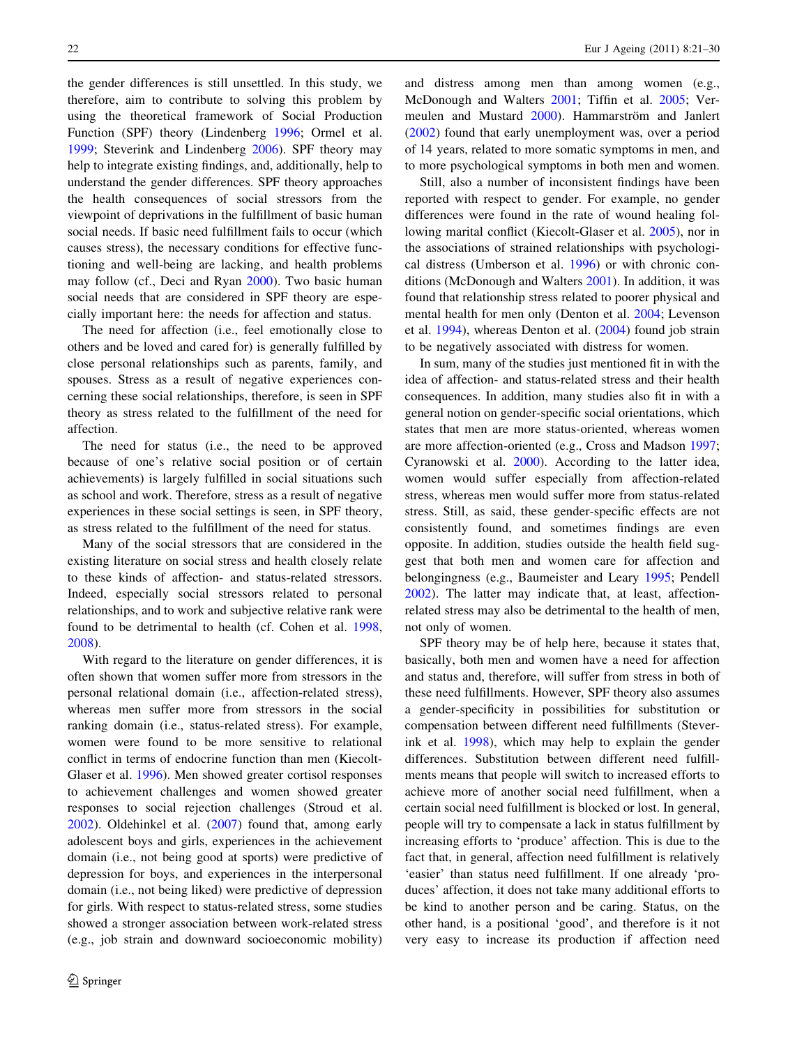the gender differences is still unsettled. In this study, we therefore, aim to contribute to solving this problem by using the theoretical framework of Social Production Function (SPF) theory (Lindenberg [1996](#page-8-0); Ormel et al. [1999;](#page-8-0) Steverink and Lindenberg [2006\)](#page-8-0). SPF theory may help to integrate existing findings, and, additionally, help to understand the gender differences. SPF theory approaches the health consequences of social stressors from the viewpoint of deprivations in the fulfillment of basic human social needs. If basic need fulfillment fails to occur (which causes stress), the necessary conditions for effective functioning and well-being are lacking, and health problems may follow (cf., Deci and Ryan [2000](#page-8-0)). Two basic human social needs that are considered in SPF theory are especially important here: the needs for affection and status.

The need for affection (i.e., feel emotionally close to others and be loved and cared for) is generally fulfilled by close personal relationships such as parents, family, and spouses. Stress as a result of negative experiences concerning these social relationships, therefore, is seen in SPF theory as stress related to the fulfillment of the need for affection.

The need for status (i.e., the need to be approved because of one's relative social position or of certain achievements) is largely fulfilled in social situations such as school and work. Therefore, stress as a result of negative experiences in these social settings is seen, in SPF theory, as stress related to the fulfillment of the need for status.

Many of the social stressors that are considered in the existing literature on social stress and health closely relate to these kinds of affection- and status-related stressors. Indeed, especially social stressors related to personal relationships, and to work and subjective relative rank were found to be detrimental to health (cf. Cohen et al. [1998,](#page-8-0) [2008\)](#page-8-0).

With regard to the literature on gender differences, it is often shown that women suffer more from stressors in the personal relational domain (i.e., affection-related stress), whereas men suffer more from stressors in the social ranking domain (i.e., status-related stress). For example, women were found to be more sensitive to relational conflict in terms of endocrine function than men (Kiecolt-Glaser et al. [1996](#page-8-0)). Men showed greater cortisol responses to achievement challenges and women showed greater responses to social rejection challenges (Stroud et al. [2002\)](#page-8-0). Oldehinkel et al. ([2007\)](#page-8-0) found that, among early adolescent boys and girls, experiences in the achievement domain (i.e., not being good at sports) were predictive of depression for boys, and experiences in the interpersonal domain (i.e., not being liked) were predictive of depression for girls. With respect to status-related stress, some studies showed a stronger association between work-related stress (e.g., job strain and downward socioeconomic mobility) and distress among men than among women (e.g., McDonough and Walters [2001;](#page-8-0) Tiffin et al. [2005](#page-9-0); Ver-meulen and Mustard [2000](#page-9-0)). Hammarström and Janlert [\(2002](#page-8-0)) found that early unemployment was, over a period of 14 years, related to more somatic symptoms in men, and to more psychological symptoms in both men and women.

Still, also a number of inconsistent findings have been reported with respect to gender. For example, no gender differences were found in the rate of wound healing following marital conflict (Kiecolt-Glaser et al. [2005\)](#page-8-0), nor in the associations of strained relationships with psychological distress (Umberson et al. [1996](#page-9-0)) or with chronic conditions (McDonough and Walters [2001](#page-8-0)). In addition, it was found that relationship stress related to poorer physical and mental health for men only (Denton et al. [2004](#page-8-0); Levenson et al. [1994](#page-8-0)), whereas Denton et al. [\(2004](#page-8-0)) found job strain to be negatively associated with distress for women.

In sum, many of the studies just mentioned fit in with the idea of affection- and status-related stress and their health consequences. In addition, many studies also fit in with a general notion on gender-specific social orientations, which states that men are more status-oriented, whereas women are more affection-oriented (e.g., Cross and Madson [1997](#page-8-0); Cyranowski et al. [2000](#page-8-0)). According to the latter idea, women would suffer especially from affection-related stress, whereas men would suffer more from status-related stress. Still, as said, these gender-specific effects are not consistently found, and sometimes findings are even opposite. In addition, studies outside the health field suggest that both men and women care for affection and belongingness (e.g., Baumeister and Leary [1995](#page-8-0); Pendell [2002](#page-8-0)). The latter may indicate that, at least, affectionrelated stress may also be detrimental to the health of men, not only of women.

SPF theory may be of help here, because it states that, basically, both men and women have a need for affection and status and, therefore, will suffer from stress in both of these need fulfillments. However, SPF theory also assumes a gender-specificity in possibilities for substitution or compensation between different need fulfillments (Steverink et al. [1998\)](#page-8-0), which may help to explain the gender differences. Substitution between different need fulfillments means that people will switch to increased efforts to achieve more of another social need fulfillment, when a certain social need fulfillment is blocked or lost. In general, people will try to compensate a lack in status fulfillment by increasing efforts to 'produce' affection. This is due to the fact that, in general, affection need fulfillment is relatively 'easier' than status need fulfillment. If one already 'produces' affection, it does not take many additional efforts to be kind to another person and be caring. Status, on the other hand, is a positional 'good', and therefore is it not very easy to increase its production if affection need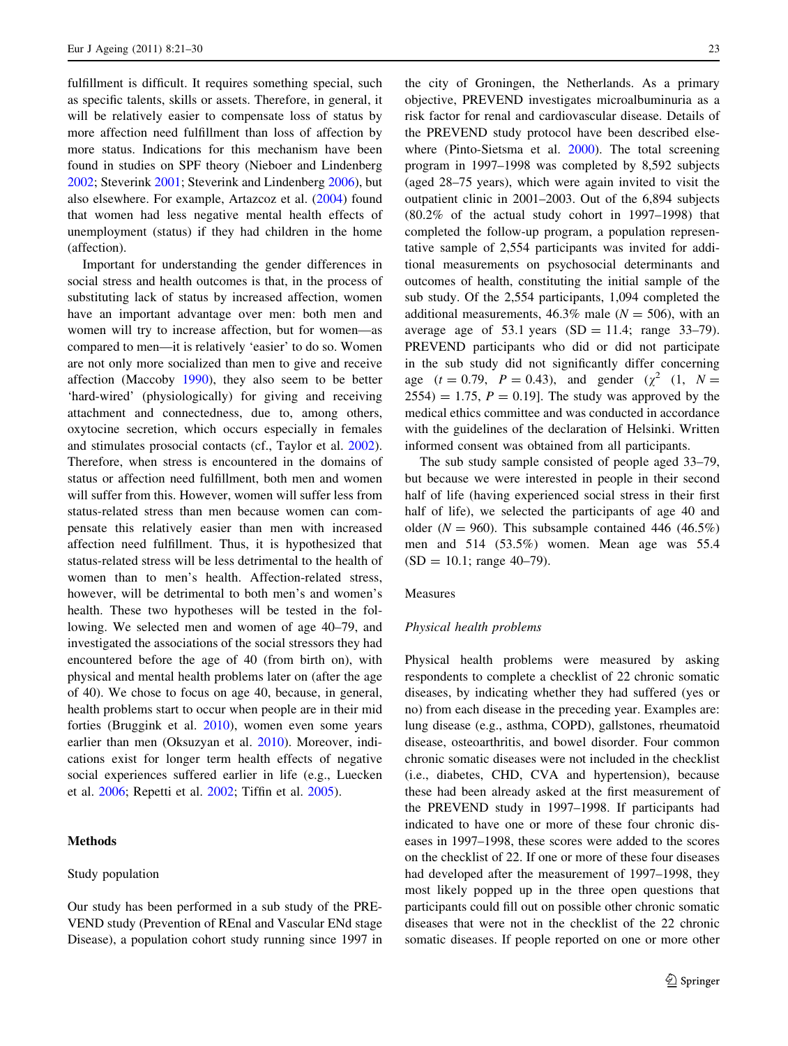fulfillment is difficult. It requires something special, such as specific talents, skills or assets. Therefore, in general, it will be relatively easier to compensate loss of status by more affection need fulfillment than loss of affection by more status. Indications for this mechanism have been found in studies on SPF theory (Nieboer and Lindenberg [2002;](#page-8-0) Steverink [2001;](#page-8-0) Steverink and Lindenberg [2006](#page-8-0)), but also elsewhere. For example, Artazcoz et al. [\(2004](#page-8-0)) found that women had less negative mental health effects of unemployment (status) if they had children in the home (affection).

Important for understanding the gender differences in social stress and health outcomes is that, in the process of substituting lack of status by increased affection, women have an important advantage over men: both men and women will try to increase affection, but for women—as compared to men—it is relatively 'easier' to do so. Women are not only more socialized than men to give and receive affection (Maccoby [1990\)](#page-8-0), they also seem to be better 'hard-wired' (physiologically) for giving and receiving attachment and connectedness, due to, among others, oxytocine secretion, which occurs especially in females and stimulates prosocial contacts (cf., Taylor et al. [2002](#page-8-0)). Therefore, when stress is encountered in the domains of status or affection need fulfillment, both men and women will suffer from this. However, women will suffer less from status-related stress than men because women can compensate this relatively easier than men with increased affection need fulfillment. Thus, it is hypothesized that status-related stress will be less detrimental to the health of women than to men's health. Affection-related stress, however, will be detrimental to both men's and women's health. These two hypotheses will be tested in the following. We selected men and women of age 40–79, and investigated the associations of the social stressors they had encountered before the age of 40 (from birth on), with physical and mental health problems later on (after the age of 40). We chose to focus on age 40, because, in general, health problems start to occur when people are in their mid forties (Bruggink et al. [2010\)](#page-8-0), women even some years earlier than men (Oksuzyan et al. [2010\)](#page-8-0). Moreover, indications exist for longer term health effects of negative social experiences suffered earlier in life (e.g., Luecken et al. [2006;](#page-8-0) Repetti et al. [2002;](#page-8-0) Tiffin et al. [2005\)](#page-9-0).

# Methods

#### Study population

Our study has been performed in a sub study of the PRE-VEND study (Prevention of REnal and Vascular ENd stage Disease), a population cohort study running since 1997 in

the city of Groningen, the Netherlands. As a primary objective, PREVEND investigates microalbuminuria as a risk factor for renal and cardiovascular disease. Details of the PREVEND study protocol have been described elsewhere (Pinto-Sietsma et al. [2000\)](#page-8-0). The total screening program in 1997–1998 was completed by 8,592 subjects (aged 28–75 years), which were again invited to visit the outpatient clinic in 2001–2003. Out of the 6,894 subjects (80.2% of the actual study cohort in 1997–1998) that completed the follow-up program, a population representative sample of 2,554 participants was invited for additional measurements on psychosocial determinants and outcomes of health, constituting the initial sample of the sub study. Of the 2,554 participants, 1,094 completed the additional measurements,  $46.3\%$  male ( $N = 506$ ), with an average age of 53.1 years  $(SD = 11.4; \text{ range } 33-79)$ . PREVEND participants who did or did not participate in the sub study did not significantly differ concerning age  $(t = 0.79, P = 0.43)$ , and gender  $(\chi^2 (1, N =$  $2554$ ) = 1.75,  $P = 0.19$ . The study was approved by the medical ethics committee and was conducted in accordance with the guidelines of the declaration of Helsinki. Written informed consent was obtained from all participants.

The sub study sample consisted of people aged 33–79, but because we were interested in people in their second half of life (having experienced social stress in their first half of life), we selected the participants of age 40 and older ( $N = 960$ ). This subsample contained 446 (46.5%) men and 514 (53.5%) women. Mean age was 55.4  $(SD = 10.1; \text{ range } 40-79).$ 

#### Measures

## Physical health problems

Physical health problems were measured by asking respondents to complete a checklist of 22 chronic somatic diseases, by indicating whether they had suffered (yes or no) from each disease in the preceding year. Examples are: lung disease (e.g., asthma, COPD), gallstones, rheumatoid disease, osteoarthritis, and bowel disorder. Four common chronic somatic diseases were not included in the checklist (i.e., diabetes, CHD, CVA and hypertension), because these had been already asked at the first measurement of the PREVEND study in 1997–1998. If participants had indicated to have one or more of these four chronic diseases in 1997–1998, these scores were added to the scores on the checklist of 22. If one or more of these four diseases had developed after the measurement of 1997–1998, they most likely popped up in the three open questions that participants could fill out on possible other chronic somatic diseases that were not in the checklist of the 22 chronic somatic diseases. If people reported on one or more other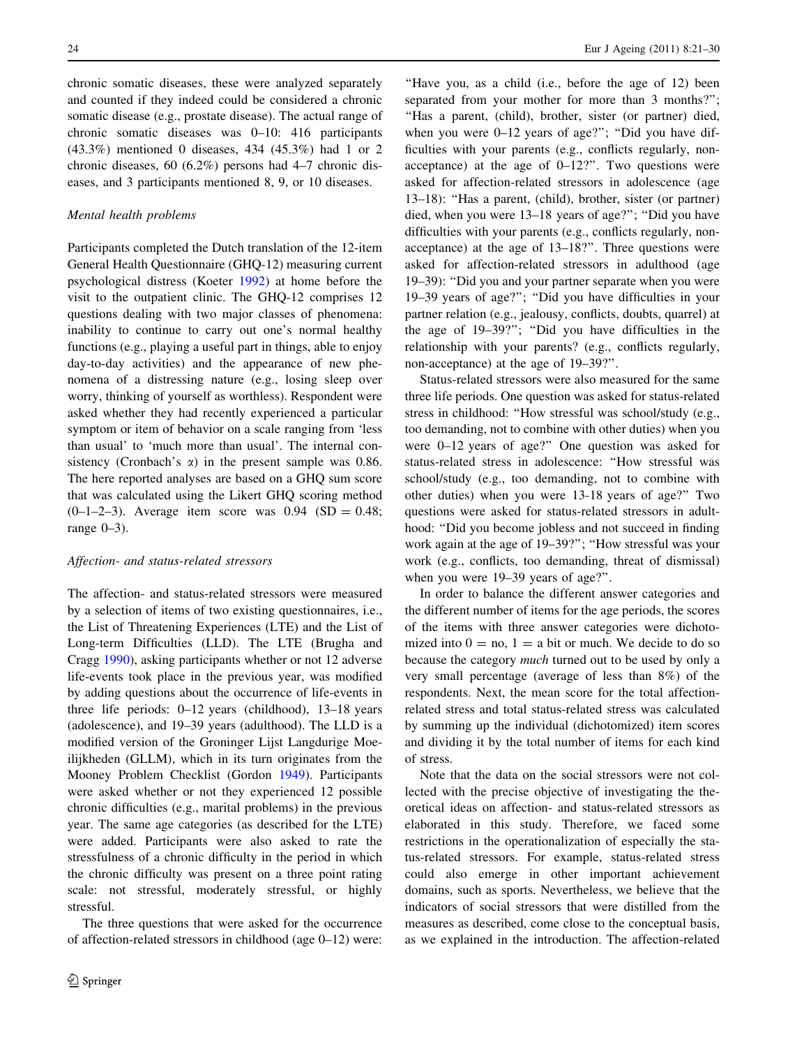chronic somatic diseases, these were analyzed separately and counted if they indeed could be considered a chronic somatic disease (e.g., prostate disease). The actual range of chronic somatic diseases was 0–10: 416 participants (43.3%) mentioned 0 diseases, 434 (45.3%) had 1 or 2 chronic diseases, 60 (6.2%) persons had 4–7 chronic diseases, and 3 participants mentioned 8, 9, or 10 diseases.

## Mental health problems

Participants completed the Dutch translation of the 12-item General Health Questionnaire (GHQ-12) measuring current psychological distress (Koeter [1992\)](#page-8-0) at home before the visit to the outpatient clinic. The GHQ-12 comprises 12 questions dealing with two major classes of phenomena: inability to continue to carry out one's normal healthy functions (e.g., playing a useful part in things, able to enjoy day-to-day activities) and the appearance of new phenomena of a distressing nature (e.g., losing sleep over worry, thinking of yourself as worthless). Respondent were asked whether they had recently experienced a particular symptom or item of behavior on a scale ranging from 'less than usual' to 'much more than usual'. The internal consistency (Cronbach's  $\alpha$ ) in the present sample was 0.86. The here reported analyses are based on a GHQ sum score that was calculated using the Likert GHQ scoring method  $(0-1-2-3)$ . Average item score was  $0.94$  (SD = 0.48; range  $0-3$ ).

## Affection- and status-related stressors

The affection- and status-related stressors were measured by a selection of items of two existing questionnaires, i.e., the List of Threatening Experiences (LTE) and the List of Long-term Difficulties (LLD). The LTE (Brugha and Cragg [1990](#page-8-0)), asking participants whether or not 12 adverse life-events took place in the previous year, was modified by adding questions about the occurrence of life-events in three life periods: 0–12 years (childhood), 13–18 years (adolescence), and 19–39 years (adulthood). The LLD is a modified version of the Groninger Lijst Langdurige Moeilijkheden (GLLM), which in its turn originates from the Mooney Problem Checklist (Gordon [1949\)](#page-8-0). Participants were asked whether or not they experienced 12 possible chronic difficulties (e.g., marital problems) in the previous year. The same age categories (as described for the LTE) were added. Participants were also asked to rate the stressfulness of a chronic difficulty in the period in which the chronic difficulty was present on a three point rating scale: not stressful, moderately stressful, or highly stressful.

The three questions that were asked for the occurrence of affection-related stressors in childhood (age 0–12) were:

''Have you, as a child (i.e., before the age of 12) been separated from your mother for more than 3 months?''; ''Has a parent, (child), brother, sister (or partner) died, when you were 0–12 years of age?"; "Did you have difficulties with your parents (e.g., conflicts regularly, nonacceptance) at the age of  $0-12$ ?". Two questions were asked for affection-related stressors in adolescence (age 13–18): ''Has a parent, (child), brother, sister (or partner) died, when you were 13–18 years of age?''; ''Did you have difficulties with your parents (e.g., conflicts regularly, nonacceptance) at the age of 13–18?''. Three questions were asked for affection-related stressors in adulthood (age 19–39): ''Did you and your partner separate when you were 19–39 years of age?''; ''Did you have difficulties in your partner relation (e.g., jealousy, conflicts, doubts, quarrel) at the age of 19–39?''; ''Did you have difficulties in the relationship with your parents? (e.g., conflicts regularly, non-acceptance) at the age of 19–39?''.

Status-related stressors were also measured for the same three life periods. One question was asked for status-related stress in childhood: ''How stressful was school/study (e.g., too demanding, not to combine with other duties) when you were 0–12 years of age?'' One question was asked for status-related stress in adolescence: ''How stressful was school/study (e.g., too demanding, not to combine with other duties) when you were 13-18 years of age?'' Two questions were asked for status-related stressors in adulthood: ''Did you become jobless and not succeed in finding work again at the age of 19–39?"; "How stressful was your work (e.g., conflicts, too demanding, threat of dismissal) when you were 19–39 years of age?".

In order to balance the different answer categories and the different number of items for the age periods, the scores of the items with three answer categories were dichotomized into  $0 = no$ ,  $1 = a bit$  or much. We decide to do so because the category much turned out to be used by only a very small percentage (average of less than 8%) of the respondents. Next, the mean score for the total affectionrelated stress and total status-related stress was calculated by summing up the individual (dichotomized) item scores and dividing it by the total number of items for each kind of stress.

Note that the data on the social stressors were not collected with the precise objective of investigating the theoretical ideas on affection- and status-related stressors as elaborated in this study. Therefore, we faced some restrictions in the operationalization of especially the status-related stressors. For example, status-related stress could also emerge in other important achievement domains, such as sports. Nevertheless, we believe that the indicators of social stressors that were distilled from the measures as described, come close to the conceptual basis, as we explained in the introduction. The affection-related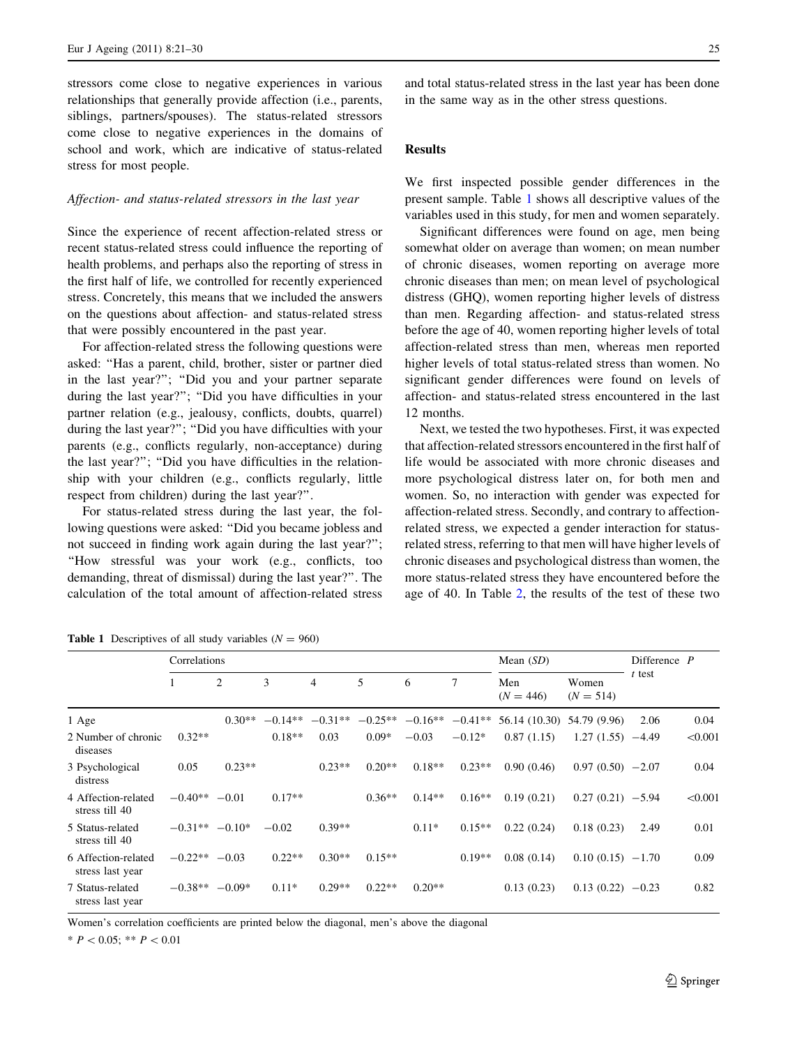stressors come close to negative experiences in various relationships that generally provide affection (i.e., parents, siblings, partners/spouses). The status-related stressors come close to negative experiences in the domains of school and work, which are indicative of status-related stress for most people.

## Affection- and status-related stressors in the last year

Since the experience of recent affection-related stress or recent status-related stress could influence the reporting of health problems, and perhaps also the reporting of stress in the first half of life, we controlled for recently experienced stress. Concretely, this means that we included the answers on the questions about affection- and status-related stress that were possibly encountered in the past year.

For affection-related stress the following questions were asked: ''Has a parent, child, brother, sister or partner died in the last year?''; ''Did you and your partner separate during the last year?"; "Did you have difficulties in your partner relation (e.g., jealousy, conflicts, doubts, quarrel) during the last year?''; ''Did you have difficulties with your parents (e.g., conflicts regularly, non-acceptance) during the last year?''; ''Did you have difficulties in the relationship with your children (e.g., conflicts regularly, little respect from children) during the last year?''.

For status-related stress during the last year, the following questions were asked: ''Did you became jobless and not succeed in finding work again during the last year?''; ''How stressful was your work (e.g., conflicts, too demanding, threat of dismissal) during the last year?''. The calculation of the total amount of affection-related stress

and total status-related stress in the last year has been done in the same way as in the other stress questions.

# Results

We first inspected possible gender differences in the present sample. Table 1 shows all descriptive values of the variables used in this study, for men and women separately.

Significant differences were found on age, men being somewhat older on average than women; on mean number of chronic diseases, women reporting on average more chronic diseases than men; on mean level of psychological distress (GHQ), women reporting higher levels of distress than men. Regarding affection- and status-related stress before the age of 40, women reporting higher levels of total affection-related stress than men, whereas men reported higher levels of total status-related stress than women. No significant gender differences were found on levels of affection- and status-related stress encountered in the last 12 months.

Next, we tested the two hypotheses. First, it was expected that affection-related stressors encountered in the first half of life would be associated with more chronic diseases and more psychological distress later on, for both men and women. So, no interaction with gender was expected for affection-related stress. Secondly, and contrary to affectionrelated stress, we expected a gender interaction for statusrelated stress, referring to that men will have higher levels of chronic diseases and psychological distress than women, the more status-related stress they have encountered before the age of 40. In Table [2](#page-5-0), the results of the test of these two

|                                         | Correlations       |          |           |           |          |                               |          | Mean $(SD)$        | Difference $P$       |          |         |
|-----------------------------------------|--------------------|----------|-----------|-----------|----------|-------------------------------|----------|--------------------|----------------------|----------|---------|
|                                         |                    | 2        | 3         | 4         | 5        | 6                             | $\tau$   | Men<br>$(N = 446)$ | Women<br>$(N = 514)$ | $t$ test |         |
| 1 Age                                   |                    | $0.30**$ | $-0.14**$ | $-0.31**$ |          | $-0.25**$ $-0.16**$ $-0.41**$ |          | 56.14 (10.30)      | 54.79 (9.96)         | 2.06     | 0.04    |
| 2 Number of chronic<br>diseases         | $0.32**$           |          | $0.18**$  | 0.03      | $0.09*$  | $-0.03$                       | $-0.12*$ | 0.87(1.15)         | $1.27(1.55) -4.49$   |          | < 0.001 |
| 3 Psychological<br>distress             | 0.05               | $0.23**$ |           | $0.23**$  | $0.20**$ | $0.18**$                      | $0.23**$ | 0.90(0.46)         | $0.97(0.50) -2.07$   |          | 0.04    |
| 4 Affection-related<br>stress till 40   | $-0.40**$          | $-0.01$  | $0.17**$  |           | $0.36**$ | $0.14**$                      | $0.16**$ | 0.19(0.21)         | $0.27(0.21) -5.94$   |          | < 0.001 |
| 5 Status-related<br>stress till 40      | $-0.31**$ $-0.10*$ |          | $-0.02$   | $0.39**$  |          | $0.11*$                       | $0.15**$ | 0.22(0.24)         | 0.18(0.23)           | 2.49     | 0.01    |
| 6 Affection-related<br>stress last year | $-0.22**$          | $-0.03$  | $0.22**$  | $0.30**$  | $0.15**$ |                               | $0.19**$ | 0.08(0.14)         | $0.10(0.15) -1.70$   |          | 0.09    |
| 7 Status-related<br>stress last year    | $-0.38** -0.09*$   |          | $0.11*$   | $0.29**$  | $0.22**$ | $0.20**$                      |          | 0.13(0.23)         | $0.13(0.22) -0.23$   |          | 0.82    |

**Table 1** Descriptives of all study variables ( $N = 960$ )

Women's correlation coefficients are printed below the diagonal, men's above the diagonal

 $* P < 0.05; ** P < 0.01$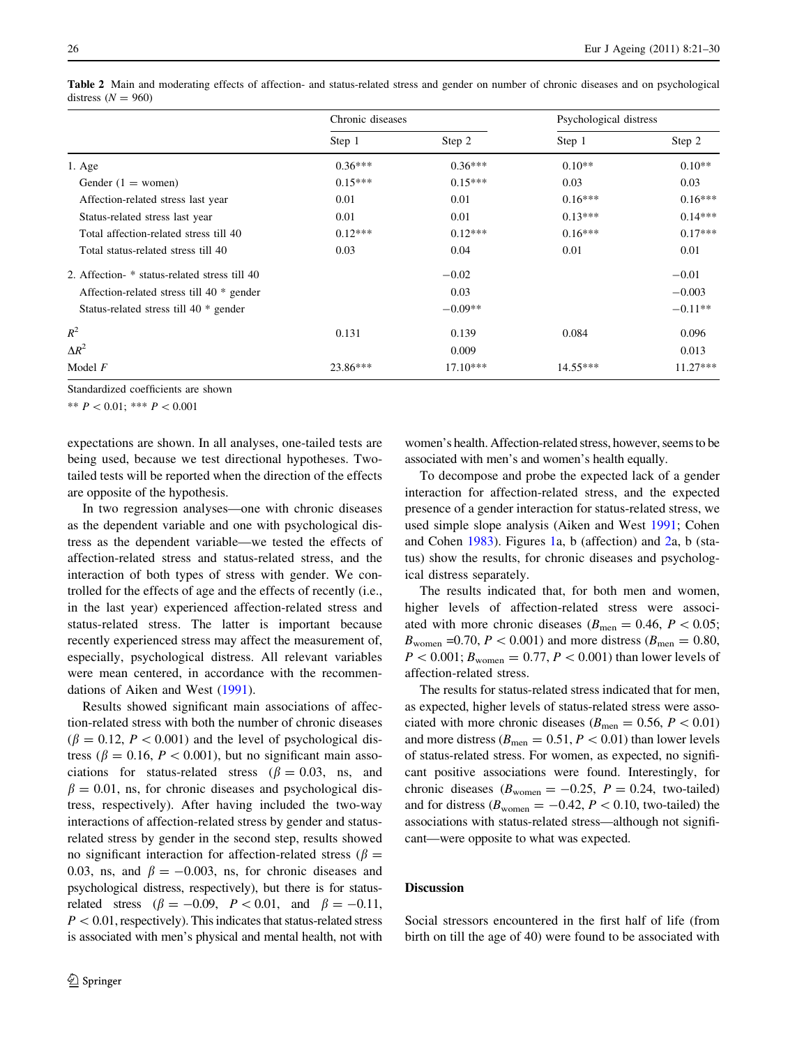|                                               | Chronic diseases |            | Psychological distress |            |
|-----------------------------------------------|------------------|------------|------------------------|------------|
|                                               | Step 1           | Step 2     | Step 1                 | Step 2     |
| $1. \text{Age}$                               | $0.36***$        | $0.36***$  | $0.10**$               | $0.10**$   |
| Gender $(1 = \text{woman})$                   | $0.15***$        | $0.15***$  | 0.03                   | 0.03       |
| Affection-related stress last year            | 0.01             | 0.01       | $0.16***$              | $0.16***$  |
| Status-related stress last year               | 0.01             | 0.01       | $0.13***$              | $0.14***$  |
| Total affection-related stress till 40        | $0.12***$        | $0.12***$  | $0.16***$              | $0.17***$  |
| Total status-related stress till 40           | 0.03             | 0.04       | 0.01                   | 0.01       |
| 2. Affection- * status-related stress till 40 |                  | $-0.02$    |                        | $-0.01$    |
| Affection-related stress till $40 *$ gender   |                  | 0.03       |                        | $-0.003$   |
| Status-related stress till 40 * gender        |                  | $-0.09**$  |                        | $-0.11**$  |
| $R^2$                                         | 0.131            | 0.139      | 0.084                  | 0.096      |
| $\Delta R^2$                                  |                  | 0.009      |                        | 0.013      |
| Model $F$                                     | $23.86***$       | $17.10***$ | $14.55***$             | $11.27***$ |

<span id="page-5-0"></span>Table 2 Main and moderating effects of affection- and status-related stress and gender on number of chronic diseases and on psychological distress  $(N = 960)$ 

Standardized coefficients are shown

\*\*  $P < 0.01$ ; \*\*\*  $P < 0.001$ 

expectations are shown. In all analyses, one-tailed tests are being used, because we test directional hypotheses. Twotailed tests will be reported when the direction of the effects are opposite of the hypothesis.

In two regression analyses—one with chronic diseases as the dependent variable and one with psychological distress as the dependent variable—we tested the effects of affection-related stress and status-related stress, and the interaction of both types of stress with gender. We controlled for the effects of age and the effects of recently (i.e., in the last year) experienced affection-related stress and status-related stress. The latter is important because recently experienced stress may affect the measurement of, especially, psychological distress. All relevant variables were mean centered, in accordance with the recommendations of Aiken and West ([1991\)](#page-8-0).

Results showed significant main associations of affection-related stress with both the number of chronic diseases  $(\beta = 0.12, P < 0.001)$  and the level of psychological distress ( $\beta = 0.16$ ,  $P < 0.001$ ), but no significant main associations for status-related stress ( $\beta = 0.03$ , ns, and  $\beta = 0.01$ , ns, for chronic diseases and psychological distress, respectively). After having included the two-way interactions of affection-related stress by gender and statusrelated stress by gender in the second step, results showed no significant interaction for affection-related stress ( $\beta$  = 0.03, ns, and  $\beta = -0.003$ , ns, for chronic diseases and psychological distress, respectively), but there is for statusrelated stress  $(\beta = -0.09, P < 0.01,$  and  $\beta = -0.11,$  $P<0.01$ , respectively). This indicates that status-related stress is associated with men's physical and mental health, not with

women's health. Affection-related stress, however, seems to be associated with men's and women's health equally.

To decompose and probe the expected lack of a gender interaction for affection-related stress, and the expected presence of a gender interaction for status-related stress, we used simple slope analysis (Aiken and West [1991;](#page-8-0) Cohen and Cohen [1983](#page-8-0)). Figures [1a](#page-6-0), b (affection) and [2a](#page-6-0), b (status) show the results, for chronic diseases and psychological distress separately.

The results indicated that, for both men and women, higher levels of affection-related stress were associated with more chronic diseases ( $B_{\text{men}} = 0.46$ ,  $P \lt 0.05$ ;  $B_{\text{women}} = 0.70, P < 0.001$  and more distress ( $B_{\text{men}} = 0.80$ ,  $P < 0.001; B_{\text{women}} = 0.77, P < 0.001$  than lower levels of affection-related stress.

The results for status-related stress indicated that for men, as expected, higher levels of status-related stress were associated with more chronic diseases ( $B_{\text{men}} = 0.56, P < 0.01$ ) and more distress ( $B_{\text{men}} = 0.51, P \lt 0.01$ ) than lower levels of status-related stress. For women, as expected, no significant positive associations were found. Interestingly, for chronic diseases ( $B_{\text{women}} = -0.25$ ,  $P = 0.24$ , two-tailed) and for distress ( $B_{\text{women}} = -0.42, P < 0.10$ , two-tailed) the associations with status-related stress—although not significant—were opposite to what was expected.

## Discussion

Social stressors encountered in the first half of life (from birth on till the age of 40) were found to be associated with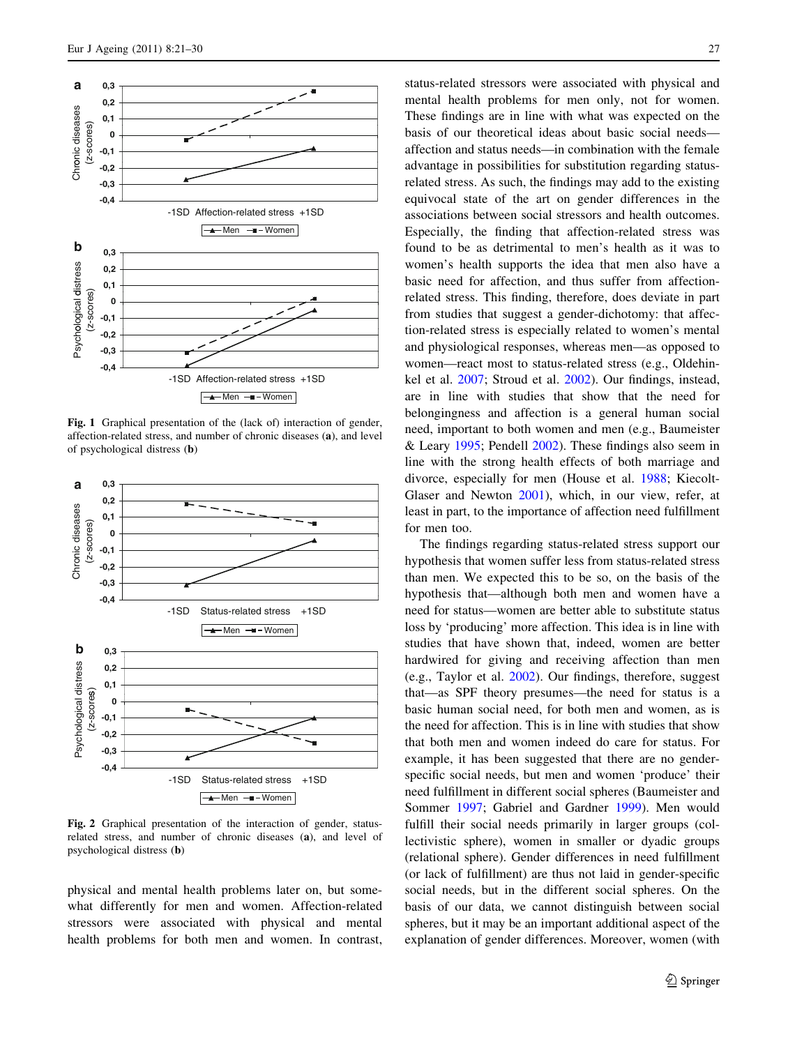<span id="page-6-0"></span>

Fig. 1 Graphical presentation of the (lack of) interaction of gender, affection-related stress, and number of chronic diseases (a), and level of psychological distress (b)



Fig. 2 Graphical presentation of the interaction of gender, statusrelated stress, and number of chronic diseases (a), and level of psychological distress (b)

physical and mental health problems later on, but somewhat differently for men and women. Affection-related stressors were associated with physical and mental health problems for both men and women. In contrast, status-related stressors were associated with physical and mental health problems for men only, not for women. These findings are in line with what was expected on the basis of our theoretical ideas about basic social needs affection and status needs—in combination with the female advantage in possibilities for substitution regarding statusrelated stress. As such, the findings may add to the existing equivocal state of the art on gender differences in the associations between social stressors and health outcomes. Especially, the finding that affection-related stress was found to be as detrimental to men's health as it was to women's health supports the idea that men also have a basic need for affection, and thus suffer from affectionrelated stress. This finding, therefore, does deviate in part from studies that suggest a gender-dichotomy: that affection-related stress is especially related to women's mental and physiological responses, whereas men—as opposed to women—react most to status-related stress (e.g., Oldehinkel et al. [2007](#page-8-0); Stroud et al. [2002\)](#page-8-0). Our findings, instead, are in line with studies that show that the need for belongingness and affection is a general human social need, important to both women and men (e.g., Baumeister & Leary [1995](#page-8-0); Pendell [2002](#page-8-0)). These findings also seem in line with the strong health effects of both marriage and divorce, especially for men (House et al. [1988](#page-8-0); Kiecolt-Glaser and Newton [2001](#page-8-0)), which, in our view, refer, at least in part, to the importance of affection need fulfillment for men too.

The findings regarding status-related stress support our hypothesis that women suffer less from status-related stress than men. We expected this to be so, on the basis of the hypothesis that—although both men and women have a need for status—women are better able to substitute status loss by 'producing' more affection. This idea is in line with studies that have shown that, indeed, women are better hardwired for giving and receiving affection than men (e.g., Taylor et al. [2002\)](#page-8-0). Our findings, therefore, suggest that—as SPF theory presumes—the need for status is a basic human social need, for both men and women, as is the need for affection. This is in line with studies that show that both men and women indeed do care for status. For example, it has been suggested that there are no genderspecific social needs, but men and women 'produce' their need fulfillment in different social spheres (Baumeister and Sommer [1997](#page-8-0); Gabriel and Gardner [1999](#page-8-0)). Men would fulfill their social needs primarily in larger groups (collectivistic sphere), women in smaller or dyadic groups (relational sphere). Gender differences in need fulfillment (or lack of fulfillment) are thus not laid in gender-specific social needs, but in the different social spheres. On the basis of our data, we cannot distinguish between social spheres, but it may be an important additional aspect of the explanation of gender differences. Moreover, women (with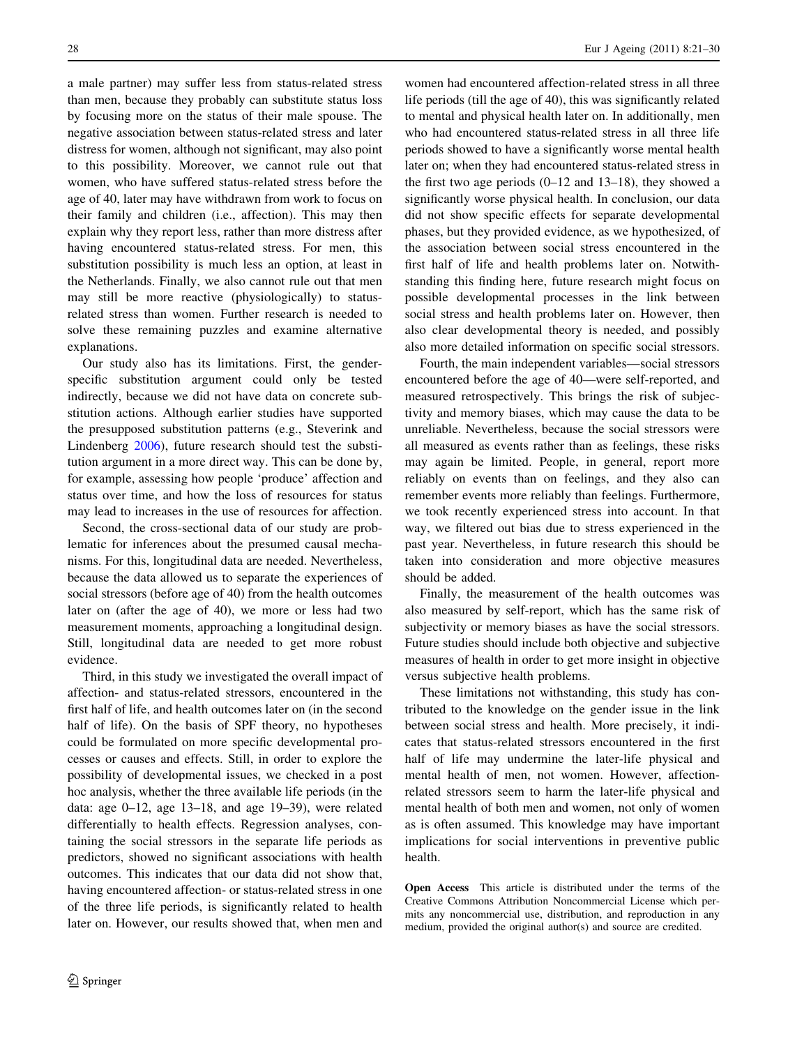a male partner) may suffer less from status-related stress than men, because they probably can substitute status loss by focusing more on the status of their male spouse. The negative association between status-related stress and later distress for women, although not significant, may also point to this possibility. Moreover, we cannot rule out that women, who have suffered status-related stress before the age of 40, later may have withdrawn from work to focus on their family and children (i.e., affection). This may then explain why they report less, rather than more distress after having encountered status-related stress. For men, this substitution possibility is much less an option, at least in the Netherlands. Finally, we also cannot rule out that men may still be more reactive (physiologically) to statusrelated stress than women. Further research is needed to solve these remaining puzzles and examine alternative explanations.

Our study also has its limitations. First, the genderspecific substitution argument could only be tested indirectly, because we did not have data on concrete substitution actions. Although earlier studies have supported the presupposed substitution patterns (e.g., Steverink and Lindenberg [2006](#page-8-0)), future research should test the substitution argument in a more direct way. This can be done by, for example, assessing how people 'produce' affection and status over time, and how the loss of resources for status may lead to increases in the use of resources for affection.

Second, the cross-sectional data of our study are problematic for inferences about the presumed causal mechanisms. For this, longitudinal data are needed. Nevertheless, because the data allowed us to separate the experiences of social stressors (before age of 40) from the health outcomes later on (after the age of 40), we more or less had two measurement moments, approaching a longitudinal design. Still, longitudinal data are needed to get more robust evidence.

Third, in this study we investigated the overall impact of affection- and status-related stressors, encountered in the first half of life, and health outcomes later on (in the second half of life). On the basis of SPF theory, no hypotheses could be formulated on more specific developmental processes or causes and effects. Still, in order to explore the possibility of developmental issues, we checked in a post hoc analysis, whether the three available life periods (in the data: age 0–12, age 13–18, and age 19–39), were related differentially to health effects. Regression analyses, containing the social stressors in the separate life periods as predictors, showed no significant associations with health outcomes. This indicates that our data did not show that, having encountered affection- or status-related stress in one of the three life periods, is significantly related to health later on. However, our results showed that, when men and

women had encountered affection-related stress in all three life periods (till the age of 40), this was significantly related to mental and physical health later on. In additionally, men who had encountered status-related stress in all three life periods showed to have a significantly worse mental health later on; when they had encountered status-related stress in the first two age periods  $(0-12$  and  $13-18)$ , they showed a significantly worse physical health. In conclusion, our data did not show specific effects for separate developmental phases, but they provided evidence, as we hypothesized, of the association between social stress encountered in the first half of life and health problems later on. Notwithstanding this finding here, future research might focus on possible developmental processes in the link between social stress and health problems later on. However, then also clear developmental theory is needed, and possibly also more detailed information on specific social stressors.

Fourth, the main independent variables—social stressors encountered before the age of 40—were self-reported, and measured retrospectively. This brings the risk of subjectivity and memory biases, which may cause the data to be unreliable. Nevertheless, because the social stressors were all measured as events rather than as feelings, these risks may again be limited. People, in general, report more reliably on events than on feelings, and they also can remember events more reliably than feelings. Furthermore, we took recently experienced stress into account. In that way, we filtered out bias due to stress experienced in the past year. Nevertheless, in future research this should be taken into consideration and more objective measures should be added.

Finally, the measurement of the health outcomes was also measured by self-report, which has the same risk of subjectivity or memory biases as have the social stressors. Future studies should include both objective and subjective measures of health in order to get more insight in objective versus subjective health problems.

These limitations not withstanding, this study has contributed to the knowledge on the gender issue in the link between social stress and health. More precisely, it indicates that status-related stressors encountered in the first half of life may undermine the later-life physical and mental health of men, not women. However, affectionrelated stressors seem to harm the later-life physical and mental health of both men and women, not only of women as is often assumed. This knowledge may have important implications for social interventions in preventive public health.

Open Access This article is distributed under the terms of the Creative Commons Attribution Noncommercial License which permits any noncommercial use, distribution, and reproduction in any medium, provided the original author(s) and source are credited.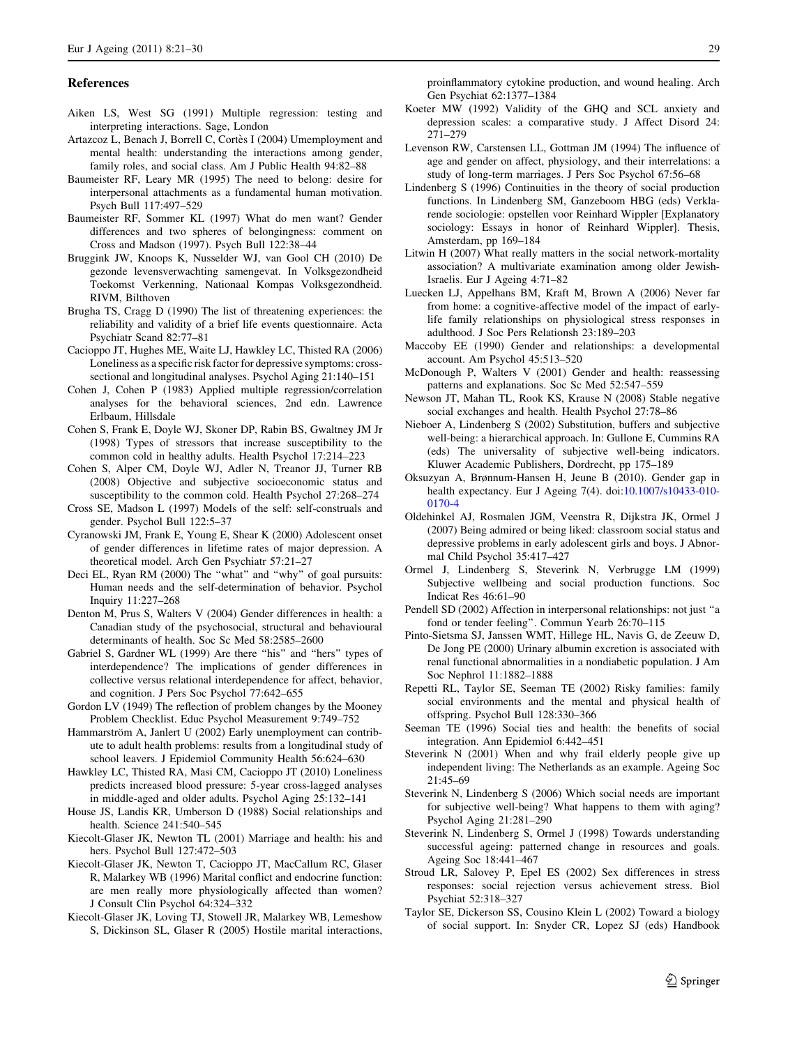#### <span id="page-8-0"></span>References

- Aiken LS, West SG (1991) Multiple regression: testing and interpreting interactions. Sage, London
- Artazcoz L, Benach J, Borrell C, Cortès I (2004) Umemployment and mental health: understanding the interactions among gender, family roles, and social class. Am J Public Health 94:82–88
- Baumeister RF, Leary MR (1995) The need to belong: desire for interpersonal attachments as a fundamental human motivation. Psych Bull 117:497–529
- Baumeister RF, Sommer KL (1997) What do men want? Gender differences and two spheres of belongingness: comment on Cross and Madson (1997). Psych Bull 122:38–44
- Bruggink JW, Knoops K, Nusselder WJ, van Gool CH (2010) De gezonde levensverwachting samengevat. In Volksgezondheid Toekomst Verkenning, Nationaal Kompas Volksgezondheid. RIVM, Bilthoven
- Brugha TS, Cragg D (1990) The list of threatening experiences: the reliability and validity of a brief life events questionnaire. Acta Psychiatr Scand 82:77–81
- Cacioppo JT, Hughes ME, Waite LJ, Hawkley LC, Thisted RA (2006) Loneliness as a specific risk factor for depressive symptoms: crosssectional and longitudinal analyses. Psychol Aging 21:140–151
- Cohen J, Cohen P (1983) Applied multiple regression/correlation analyses for the behavioral sciences, 2nd edn. Lawrence Erlbaum, Hillsdale
- Cohen S, Frank E, Doyle WJ, Skoner DP, Rabin BS, Gwaltney JM Jr (1998) Types of stressors that increase susceptibility to the common cold in healthy adults. Health Psychol 17:214–223
- Cohen S, Alper CM, Doyle WJ, Adler N, Treanor JJ, Turner RB (2008) Objective and subjective socioeconomic status and susceptibility to the common cold. Health Psychol 27:268–274
- Cross SE, Madson L (1997) Models of the self: self-construals and gender. Psychol Bull 122:5–37
- Cyranowski JM, Frank E, Young E, Shear K (2000) Adolescent onset of gender differences in lifetime rates of major depression. A theoretical model. Arch Gen Psychiatr 57:21–27
- Deci EL, Ryan RM (2000) The "what" and "why" of goal pursuits: Human needs and the self-determination of behavior. Psychol Inquiry 11:227–268
- Denton M, Prus S, Walters V (2004) Gender differences in health: a Canadian study of the psychosocial, structural and behavioural determinants of health. Soc Sc Med 58:2585–2600
- Gabriel S, Gardner WL (1999) Are there "his" and "hers" types of interdependence? The implications of gender differences in collective versus relational interdependence for affect, behavior, and cognition. J Pers Soc Psychol 77:642–655
- Gordon LV (1949) The reflection of problem changes by the Mooney Problem Checklist. Educ Psychol Measurement 9:749–752
- Hammarström A, Janlert U (2002) Early unemployment can contribute to adult health problems: results from a longitudinal study of school leavers. J Epidemiol Community Health 56:624–630
- Hawkley LC, Thisted RA, Masi CM, Cacioppo JT (2010) Loneliness predicts increased blood pressure: 5-year cross-lagged analyses in middle-aged and older adults. Psychol Aging 25:132–141
- House JS, Landis KR, Umberson D (1988) Social relationships and health. Science 241:540–545
- Kiecolt-Glaser JK, Newton TL (2001) Marriage and health: his and hers. Psychol Bull 127:472–503
- Kiecolt-Glaser JK, Newton T, Cacioppo JT, MacCallum RC, Glaser R, Malarkey WB (1996) Marital conflict and endocrine function: are men really more physiologically affected than women? J Consult Clin Psychol 64:324–332
- Kiecolt-Glaser JK, Loving TJ, Stowell JR, Malarkey WB, Lemeshow S, Dickinson SL, Glaser R (2005) Hostile marital interactions,

proinflammatory cytokine production, and wound healing. Arch Gen Psychiat 62:1377–1384

- Koeter MW (1992) Validity of the GHQ and SCL anxiety and depression scales: a comparative study. J Affect Disord 24: 271–279
- Levenson RW, Carstensen LL, Gottman JM (1994) The influence of age and gender on affect, physiology, and their interrelations: a study of long-term marriages. J Pers Soc Psychol 67:56–68
- Lindenberg S (1996) Continuities in the theory of social production functions. In Lindenberg SM, Ganzeboom HBG (eds) Verklarende sociologie: opstellen voor Reinhard Wippler [Explanatory sociology: Essays in honor of Reinhard Wippler]. Thesis, Amsterdam, pp 169–184
- Litwin H (2007) What really matters in the social network-mortality association? A multivariate examination among older Jewish-Israelis. Eur J Ageing 4:71–82
- Luecken LJ, Appelhans BM, Kraft M, Brown A (2006) Never far from home: a cognitive-affective model of the impact of earlylife family relationships on physiological stress responses in adulthood. J Soc Pers Relationsh 23:189–203
- Maccoby EE (1990) Gender and relationships: a developmental account. Am Psychol 45:513–520
- McDonough P, Walters V (2001) Gender and health: reassessing patterns and explanations. Soc Sc Med 52:547–559
- Newson JT, Mahan TL, Rook KS, Krause N (2008) Stable negative social exchanges and health. Health Psychol 27:78–86
- Nieboer A, Lindenberg S (2002) Substitution, buffers and subjective well-being: a hierarchical approach. In: Gullone E, Cummins RA (eds) The universality of subjective well-being indicators. Kluwer Academic Publishers, Dordrecht, pp 175–189
- Oksuzyan A, Brønnum-Hansen H, Jeune B (2010). Gender gap in health expectancy. Eur J Ageing 7(4). doi:[10.1007/s10433-010-](http://dx.doi.org/10.1007/s10433-010-0170-4) [0170-4](http://dx.doi.org/10.1007/s10433-010-0170-4)
- Oldehinkel AJ, Rosmalen JGM, Veenstra R, Dijkstra JK, Ormel J (2007) Being admired or being liked: classroom social status and depressive problems in early adolescent girls and boys. J Abnormal Child Psychol 35:417–427
- Ormel J, Lindenberg S, Steverink N, Verbrugge LM (1999) Subjective wellbeing and social production functions. Soc Indicat Res 46:61–90
- Pendell SD (2002) Affection in interpersonal relationships: not just ''a fond or tender feeling''. Commun Yearb 26:70–115
- Pinto-Sietsma SJ, Janssen WMT, Hillege HL, Navis G, de Zeeuw D, De Jong PE (2000) Urinary albumin excretion is associated with renal functional abnormalities in a nondiabetic population. J Am Soc Nephrol 11:1882–1888
- Repetti RL, Taylor SE, Seeman TE (2002) Risky families: family social environments and the mental and physical health of offspring. Psychol Bull 128:330–366
- Seeman TE (1996) Social ties and health: the benefits of social integration. Ann Epidemiol 6:442–451
- Steverink N (2001) When and why frail elderly people give up independent living: The Netherlands as an example. Ageing Soc 21:45–69
- Steverink N, Lindenberg S (2006) Which social needs are important for subjective well-being? What happens to them with aging? Psychol Aging 21:281–290
- Steverink N, Lindenberg S, Ormel J (1998) Towards understanding successful ageing: patterned change in resources and goals. Ageing Soc 18:441–467
- Stroud LR, Salovey P, Epel ES (2002) Sex differences in stress responses: social rejection versus achievement stress. Biol Psychiat 52:318–327
- Taylor SE, Dickerson SS, Cousino Klein L (2002) Toward a biology of social support. In: Snyder CR, Lopez SJ (eds) Handbook